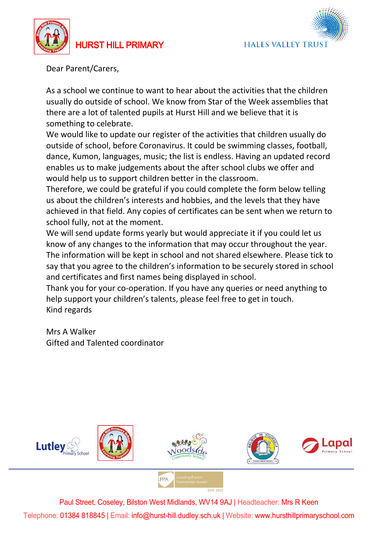

HURST HILL PRIMARY



Dear Parent/Carers,

As a school we continue to want to hear about the activities that the children usually do outside of school. We know from Star of the Week assemblies that there are a lot of talented pupils at Hurst Hill and we believe that it is something to celebrate.

We would like to update our register of the activities that children usually do outside of school, before Coronavirus. It could be swimming classes, football, dance, Kumon, languages, music; the list is endless. Having an updated record enables us to make judgements about the after school clubs we offer and would help us to support children better in the classroom.

Therefore, we could be grateful if you could complete the form below telling us about the children's interests and hobbies, and the levels that they have achieved in that field. Any copies of certificates can be sent when we return to school fully, not at the moment.

We will send update forms yearly but would appreciate it if you could let us know of any changes to the information that may occur throughout the year. The information will be kept in school and not shared elsewhere. Please tick to say that you agree to the children's information to be securely stored in school and certificates and first names being displayed in school.

Thank you for your co-operation. If you have any queries or need anything to help support your children's talents, please feel free to get in touch. Kind regards

Mrs A Walker Gifted and Talented coordinator



Paul Street, Coseley, Bilston West Midlands, WV14 9AJ | Headteacher: Mrs R Keen Telephone: 01384 818845 | Email: info@hurst-hill.dudley.sch.uk | Website: www.hursthillprimaryschool.com

 $2019 - 2022$ 

**I PPA**